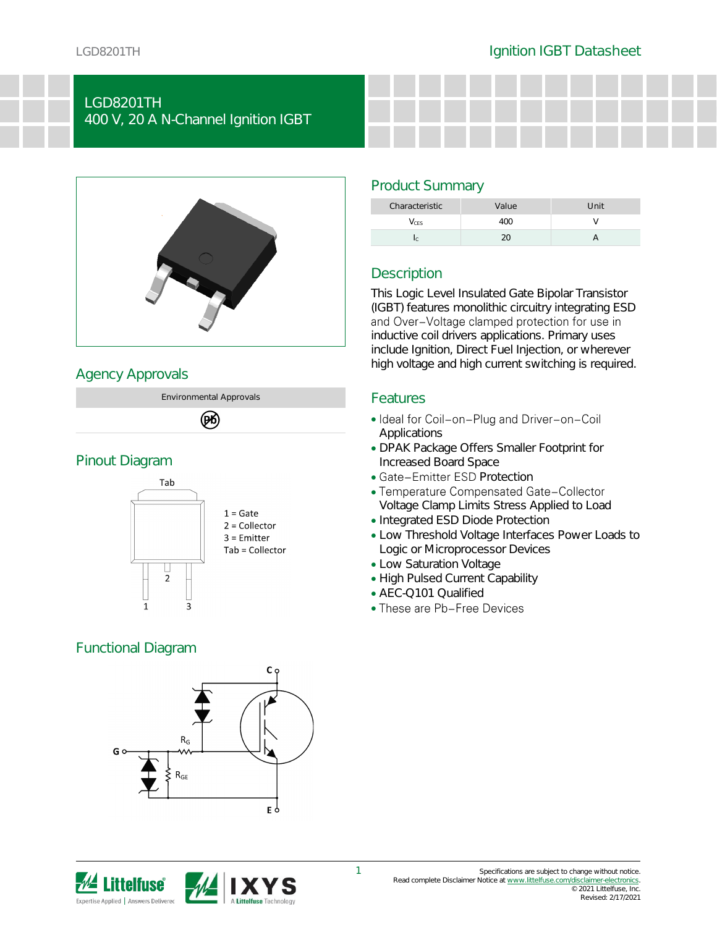## LGD8201TH 400 V, 20 A N-Channel Ignition IGBT



## Agency Approvals



# (DK)

#### Pinout Diagram



## Functional Diagram





## Product Summary

| Characteristic | Value     | Unit |
|----------------|-----------|------|
| CES            | L ( ) ( 1 |      |
|                |           |      |

## **Description**

This Logic Level Insulated Gate Bipolar Transistor (IGBT) features monolithic circuitry integrating ESD and Over-Voltage clamped protection for use in inductive coil drivers applications. Primary uses include Ignition, Direct Fuel Injection, or wherever high voltage and high current switching is required.

#### Features

- Ideal for Coil-on-Plug and Driver-on-Coil Applications
- DPAK Package Offers Smaller Footprint for Increased Board Space
- Gate-Emitter ESD Protection
- Temperature Compensated Gate-Collector Voltage Clamp Limits Stress Applied to Load
- Integrated ESD Diode Protection
- Low Threshold Voltage Interfaces Power Loads to Logic or Microprocessor Devices
- Low Saturation Voltage
- High Pulsed Current Capability
- AEC-Q101 Qualified
- These are Pb-Free Devices

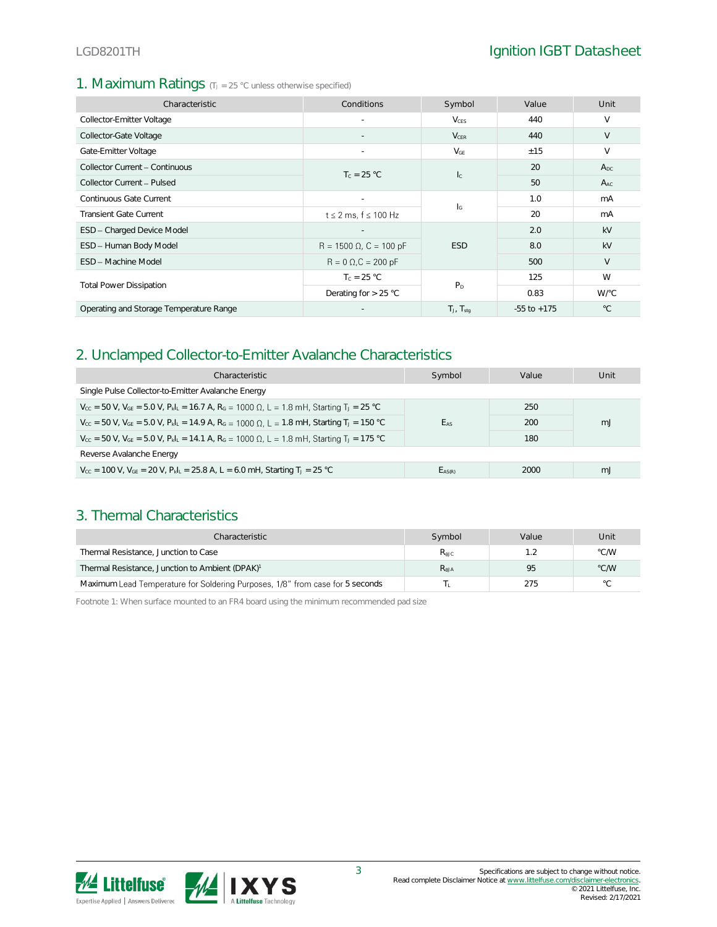#### 1. Maximum Ratings (TJ = 25 °C unless otherwise specified)

| Characteristic                          | Conditions                     | Symbol                    | Value           | Unit         |
|-----------------------------------------|--------------------------------|---------------------------|-----------------|--------------|
| Collector-Emitter Voltage               |                                | <b>V</b> <sub>CES</sub>   | 440             | V            |
| Collector-Gate Voltage                  |                                | $V_{CER}$                 | 440             | V            |
| Gate-Emitter Voltage                    |                                | $V_{GE}$                  | ±15             | $\vee$       |
| Collector Current - Continuous          | $T_c = 25 °C$                  |                           | 20              | $A_{DC}$     |
| Collector Current - Pulsed              |                                | $l_{\rm C}$               | 50              | $A_{AC}$     |
| Continuous Gate Current                 |                                | $\mathsf{I}_{\mathsf{G}}$ | 1.0             | mA           |
| <b>Transient Gate Current</b>           | $t \leq 2$ ms, $f \leq 100$ Hz |                           | 20              | mA           |
| ESD - Charged Device Model              |                                |                           | 2.0             | kV           |
| ESD - Human Body Model                  | $R = 1500 \Omega$ , C = 100 pF | <b>ESD</b>                | 8.0             | kV           |
| <b>FSD - Machine Model</b>              | $R = 0 \Omega$ , $C = 200 pF$  |                           | 500             | V            |
|                                         | $T_c = 25 °C$                  | $P_D$                     | 125             | W            |
| <b>Total Power Dissipation</b>          | Derating for $> 25$ °C         |                           | 0.83            | W/°C         |
| Operating and Storage Temperature Range |                                | $T_J$ , $T_{stq}$         | $-55$ to $+175$ | $^{\circ}$ C |

#### 2. Unclamped Collector-to-Emitter Avalanche Characteristics

| Characteristic                                                                                                                                             | Symbol      | Value | Unit |  |  |
|------------------------------------------------------------------------------------------------------------------------------------------------------------|-------------|-------|------|--|--|
| Single Pulse Collector-to-Emitter Avalanche Energy                                                                                                         |             |       |      |  |  |
| $V_{cc}$ = 50 V, $V_{GE}$ = 5.0 V, $P_kI_k$ = 16.7 A, $R_G$ = 1000 Ω, L = 1.8 mH, Starting T <sub>J</sub> = 25 °C                                          |             | 250   |      |  |  |
| $V_{\text{cc}} = 50$ V, $V_{\text{GE}} = 5.0$ V, $P_{\text{k}}L = 14.9$ A, $R_{\text{G}} = 1000$ $\Omega$ , $L = 1.8$ mH, Starting T <sub>J</sub> = 150 °C | EAS         | 200   | mJ   |  |  |
| $V_{cc}$ = 50 V, V <sub>GE</sub> = 5.0 V, P <sub>kL</sub> = 14.1 A, R <sub>G</sub> = 1000 Ω, L = 1.8 mH, Starting T <sub>J</sub> = 175 °C                  |             | 180   |      |  |  |
| Reverse Avalanche Energy                                                                                                                                   |             |       |      |  |  |
| $V_{\text{CC}}$ = 100 V, $V_{\text{GE}}$ = 20 V, $P_{\text{k}}I_{\text{L}}$ = 25.8 A, L = 6.0 mH, Starting T <sub>J</sub> = 25 °C                          | $E_{AS(R)}$ | 2000  | mJ   |  |  |

#### 3. Thermal Characteristics

| Characteristic                                                                | Symbol           | Value | Unit           |
|-------------------------------------------------------------------------------|------------------|-------|----------------|
| Thermal Resistance, Junction to Case                                          | $R_{\text{AIC}}$ |       | °C/W           |
| Thermal Resistance, Junction to Ambient (DPAK) <sup>1</sup>                   | $R_{\text{AJA}}$ | 95    | °C/W           |
| Maximum Lead Temperature for Soldering Purposes, 1/8" from case for 5 seconds |                  | 275   | $\circ$ $\cap$ |

Footnote 1: When surface mounted to an FR4 board using the minimum recommended pad size

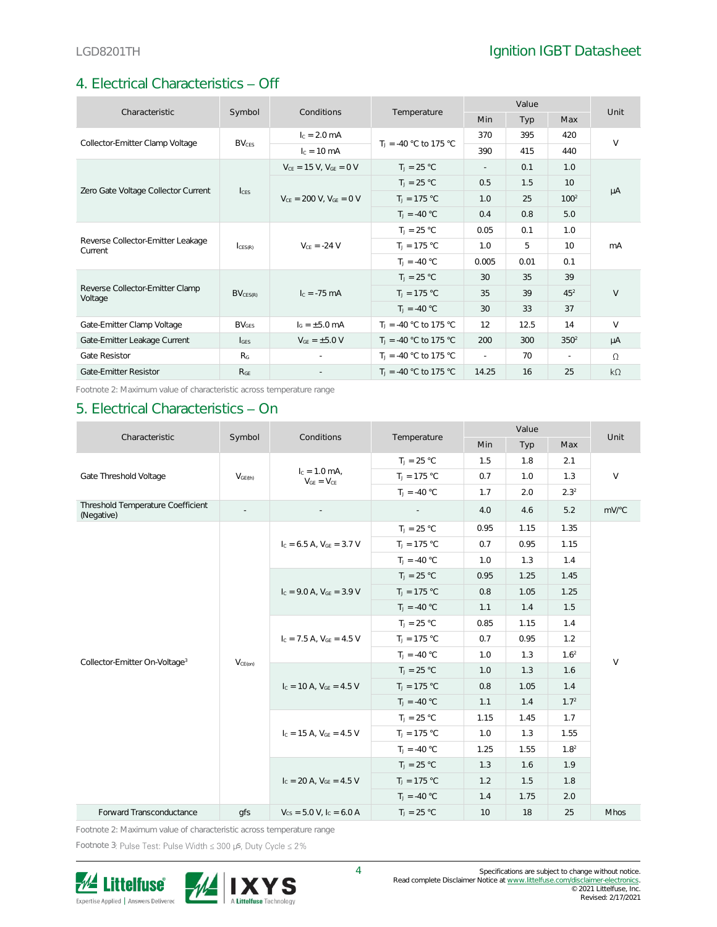## 4. Electrical Characteristics - Off

| Characteristic                               |                         | Conditions                       |                                | Value  |      |                  | Unit      |
|----------------------------------------------|-------------------------|----------------------------------|--------------------------------|--------|------|------------------|-----------|
|                                              | Symbol                  |                                  | Temperature                    | Min    | Typ  | Max              |           |
| Collector-Emitter Clamp Voltage              | <b>BV<sub>CES</sub></b> | $I_c = 2.0$ mA                   | $T_1 = -40$ °C to 175 °C       | 370    | 395  | 420              | $\vee$    |
|                                              |                         | $c = 10$ mA                      |                                | 390    | 415  | 440              |           |
|                                              |                         | $V_{CE} = 15 V$ , $V_{GE} = 0 V$ | $T_1 = 25 °C$                  | $\sim$ | 0.1  | 1.0              |           |
|                                              |                         |                                  | $T_1 = 25 °C$                  | 0.5    | 1.5  | 10               | μA        |
| Zero Gate Voltage Collector Current          | $I_{CES}$               | $V_{CF} = 200$ V, $V_{GF} = 0$ V | $T_1 = 175 °C$                 | 1.0    | 25   | 100 <sup>2</sup> |           |
|                                              |                         |                                  | $T_1 = -40 °C$                 | 0.4    | 0.8  | 5.0              |           |
|                                              | CES(R)                  | $V_{CF} = -24 V$                 | $T_1 = 25 °C$                  | 0.05   | 0.1  | 1.0              | mA        |
| Reverse Collector-Emitter Leakage<br>Current |                         |                                  | $T_J = 175 °C$                 | 1.0    | 5    | 10 <sup>°</sup>  |           |
|                                              |                         |                                  | $T_1 = -40 °C$                 | 0.005  | 0.01 | 0.1              |           |
|                                              |                         |                                  | $T_J = 25 °C$                  | 30     | 35   | 39               |           |
| Reverse Collector-Emitter Clamp<br>Voltage   | BV <sub>CES(R)</sub>    | $c = -75$ mA                     | $T_J = 175 °C$                 | 35     | 39   | $45^{2}$         | $\vee$    |
|                                              |                         |                                  | $T_1 = -40 °C$                 | 30     | 33   | 37               |           |
| Gate-Emitter Clamp Voltage                   | BV <sub>GFS</sub>       | $I_G = \pm 5.0$ mA               | $T_1 = -40$ °C to 175 °C       | 12     | 12.5 | 14               | $\vee$    |
| Gate-Emitter Leakage Current                 | $I_{GES}$               | $V_{GE} = \pm 5.0 V$             | $T_1 = -40$ °C to 175 °C       | 200    | 300  | 350 <sup>2</sup> | μA        |
| Gate Resistor                                | R <sub>G</sub>          |                                  | $T_{\rm J}$ = -40 °C to 175 °C | $\sim$ | 70   | $\sim$           | $\Omega$  |
| Gate-Emitter Resistor                        | R <sub>GE</sub>         |                                  | $T_1 = -40$ °C to 175 °C       | 14.25  | 16   | 25               | $k\Omega$ |

Footnote 2: Maximum value of characteristic across temperature range

#### 5. Electrical Characteristics - On

| Characteristic                                  | Symbol              | Conditions                           | Temperature    | Value |      |                  | Unit        |
|-------------------------------------------------|---------------------|--------------------------------------|----------------|-------|------|------------------|-------------|
|                                                 |                     |                                      |                | Min   | Typ  | Max              |             |
|                                                 |                     |                                      | $T_J = 25 °C$  | 1.5   | 1.8  | 2.1              |             |
| Gate Threshold Voltage                          | V <sub>GE(th)</sub> | $I_c = 1.0$ mA,<br>$V_{GE} = V_{CE}$ | $T_J = 175 °C$ | 0.7   | 1.0  | 1.3              | $\vee$      |
|                                                 |                     |                                      | $T_1 = -40 °C$ | 1.7   | 2.0  | 2.3 <sup>2</sup> |             |
| Threshold Temperature Coefficient<br>(Negative) |                     |                                      |                | 4.0   | 4.6  | 5.2              | mV/°C       |
|                                                 |                     |                                      | $T_J = 25 °C$  | 0.95  | 1.15 | 1.35             |             |
|                                                 |                     | $I_c = 6.5$ A, $V_{GE} = 3.7$ V      | $T_1 = 175 °C$ | 0.7   | 0.95 | 1.15             |             |
|                                                 |                     |                                      | $T_1 = -40 °C$ | 1.0   | 1.3  | 1.4              |             |
|                                                 |                     |                                      | $T_J = 25 °C$  | 0.95  | 1.25 | 1.45             |             |
|                                                 |                     | $I_c = 9.0$ A, $V_{GE} = 3.9$ V      | $T_J = 175 °C$ | 0.8   | 1.05 | 1.25             | $\vee$      |
|                                                 |                     |                                      | $T_1 = -40 °C$ | 1.1   | 1.4  | 1.5              |             |
|                                                 |                     | $I_c = 7.5$ A, $V_{GE} = 4.5$ V      | $T_J = 25 °C$  | 0.85  | 1.15 | 1.4              |             |
|                                                 |                     |                                      | $T_J = 175 °C$ | 0.7   | 0.95 | 1.2              |             |
| Collector-Emitter On-Voltage <sup>3</sup>       | $V_{CE(on)}$        |                                      | $T_1 = -40 °C$ | 1.0   | 1.3  | 1.6 <sup>2</sup> |             |
|                                                 |                     | $I_c = 10$ A, $V_{GE} = 4.5$ V       | $T_1 = 25 °C$  | 1.0   | 1.3  | 1.6              |             |
|                                                 |                     |                                      | $T_J = 175 °C$ | 0.8   | 1.05 | 1.4              |             |
|                                                 |                     |                                      | $T_J = -40 °C$ | 1.1   | 1.4  | 1.7 <sup>2</sup> |             |
|                                                 |                     |                                      | $T_J = 25 °C$  | 1.15  | 1.45 | 1.7              |             |
|                                                 |                     | $I_c = 15$ A, $V_{GE} = 4.5$ V       | $T_J = 175 °C$ | 1.0   | 1.3  | 1.55             |             |
|                                                 |                     |                                      | $T_1 = -40 °C$ | 1.25  | 1.55 | 1.8 <sup>2</sup> |             |
|                                                 |                     |                                      | $T_J = 25 °C$  | 1.3   | 1.6  | 1.9              |             |
|                                                 |                     | $I_c = 20$ A, $V_{GF} = 4.5$ V       | $T_1 = 175 °C$ | 1.2   | 1.5  | 1.8              |             |
|                                                 |                     |                                      | $T_1 = -40 °C$ | 1.4   | 1.75 | 2.0              |             |
| Forward Transconductance                        | qfs                 | $V_{CS} = 5.0 V, I_C = 6.0 A$        | $T_1 = 25 °C$  | 10    | 18   | 25               | <b>Mhos</b> |

Footnote 2: Maximum value of characteristic across temperature range

Footnote 3: Pulse Test: Pulse Width  $\leq 300$  µs, Duty Cycle  $\leq 2\%$ 

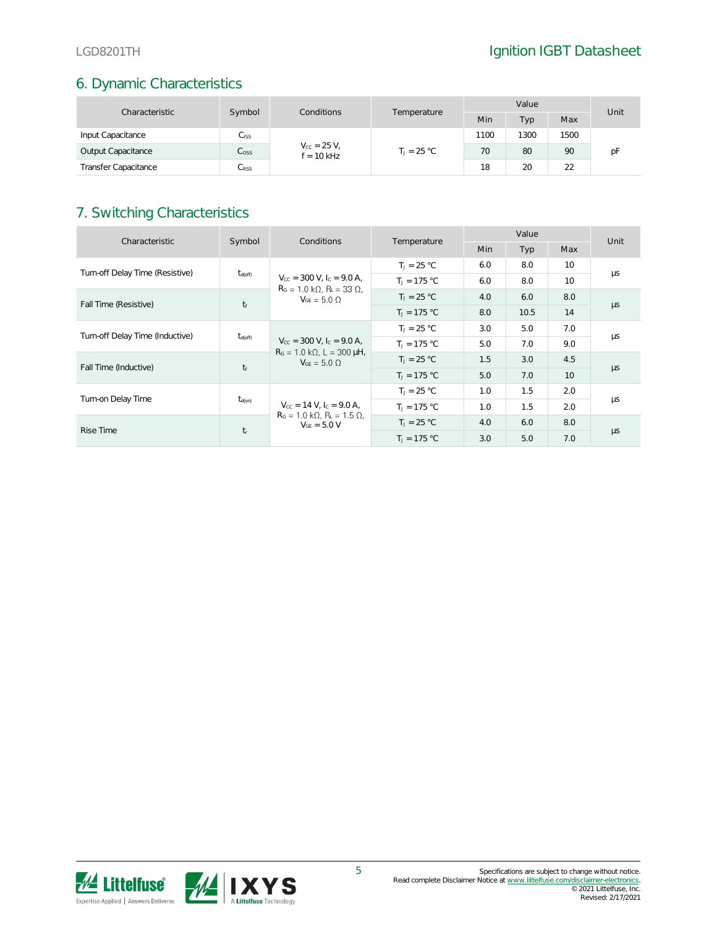## 6. Dynamic Characteristics

| Characteristic              | Symbol<br>Conditions |                                      | Value         |      |      | Unit |    |
|-----------------------------|----------------------|--------------------------------------|---------------|------|------|------|----|
|                             |                      | Temperature                          | Min           | Тур  | Max  |      |    |
| Input Capacitance           | Ciss.                |                                      |               | 1100 | 1300 | 1500 |    |
| Output Capacitance          | $C_{\rm OSS}$        | $V_{\rm CC} = 25 V,$<br>$f = 10$ kHz | $T_1 = 25 °C$ | 70   | 80   | 90   | рF |
| <b>Transfer Capacitance</b> | $C_{\rm RSS}$        |                                      |               | 18   | 20   | 22   |    |

## 7. Switching Characteristics

| Characteristic                  | Symbol              | Conditions                                                                                                    | Temperature    | Value      |      |                 | Unit    |
|---------------------------------|---------------------|---------------------------------------------------------------------------------------------------------------|----------------|------------|------|-----------------|---------|
|                                 |                     |                                                                                                               |                | <b>Min</b> | Typ  | Max             |         |
| Turn-off Delay Time (Resistive) |                     |                                                                                                               | $T_1 = 25 °C$  | 6.0        | 8.0  | 10              |         |
|                                 | $t_{\text{d(off)}}$ | $V_{\text{CC}} = 300 \text{ V}$ , $I_{\text{C}} = 9.0 \text{ A}$ ,<br>$RG = 1.0 k\Omega$ , $RL = 33 \Omega$ , | $T_1 = 175 °C$ | 6.0        | 8.0  | 10 <sup>2</sup> | μs      |
|                                 | $t_f$               | $V_{GE} = 5.0 \Omega$                                                                                         | $T_1 = 25 °C$  | 4.0        | 6.0  | 8.0             |         |
| Fall Time (Resistive)           |                     |                                                                                                               | $T_1 = 175 °C$ | 8.0        | 10.5 | 14              | $\mu s$ |
| Turn-off Delay Time (Inductive) | $t_{\text{d(off)}}$ | $V_{\text{CC}} = 300 \text{ V}$ , I <sub>C</sub> = 9.0 A,                                                     | $T_1 = 25 °C$  | 3.0        | 5.0  | 7.0             | μs      |
|                                 |                     |                                                                                                               | $T_1 = 175 °C$ | 5.0        | 7.0  | 9.0             |         |
|                                 |                     | $RG = 1.0 k\Omega$ , L = 300 µH,<br>$V_{GF} = 5.0 \Omega$                                                     | $T_1 = 25 °C$  | 1.5        | 3.0  | 4.5             |         |
| Fall Time (Inductive)           | $t_f$               |                                                                                                               | $T_1 = 175 °C$ | 5.0        | 7.0  | 10 <sup>°</sup> | $\mu s$ |
|                                 |                     |                                                                                                               | $T_1 = 25 °C$  | 1.0        | 1.5  | 2.0             |         |
| Turn-on Delay Time              | $t_{d(on)}$         | $V_{\text{cc}} = 14 \text{ V}$ , $I_{\text{c}} = 9.0 \text{ A}$ ,                                             | $T_1 = 175 °C$ | 1.0        | 1.5  | 2.0             | μs      |
| <b>Rise Time</b>                |                     | $R_G = 1.0 \text{ k}\Omega$ , $R_L = 1.5 \Omega$ ,<br>$V_{GF} = 5.0 V$                                        | $T_1 = 25 °C$  | 4.0        | 6.0  | 8.0             |         |
|                                 | $t_{r}$             |                                                                                                               | $T_1 = 175 °C$ | 3.0        | 5.0  | 7.0             | $\mu s$ |

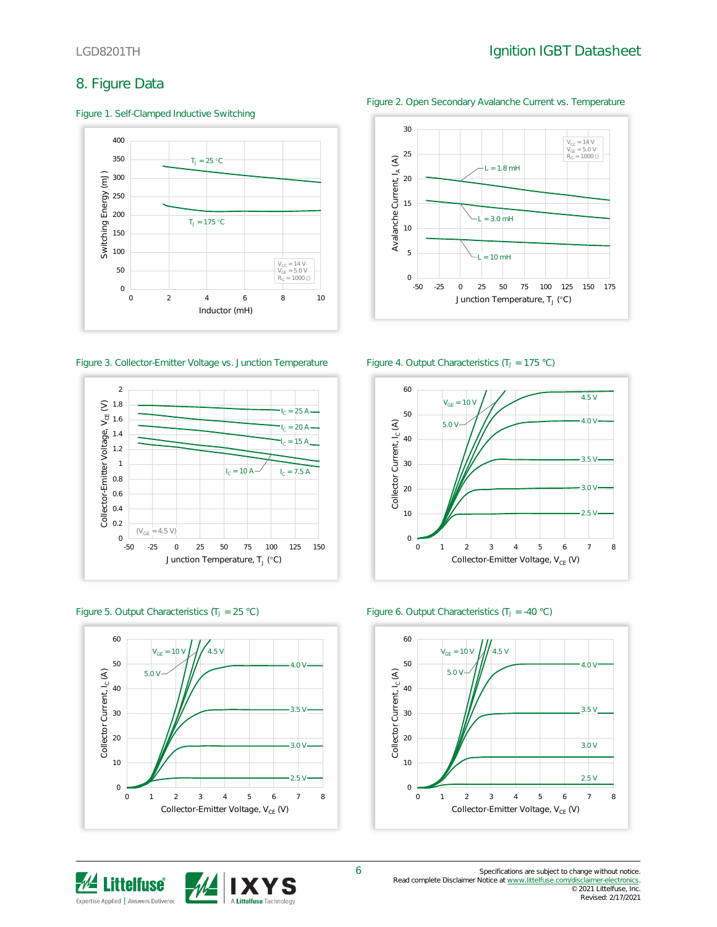$V_{CC}$  = 14 V<br>  $V_{GE}$  = 5.0 V<br>  $R_G$  = 1000 !

## 8. Figure Data

Figure 1. Self-Clamped Inductive Switching









Avalanche Current, IA (A) Avalanche Current, IA 5  $10 mH$ 0 -50 -25 0 25 50 75 100 125 150 175 Junction Temperature, T」 (°C) Figure 3. Collector-Emitter Voltage vs. Junction Temperature Figure 4. Output Characteristics (T<sub>J</sub> = 175 °C) 60

10

15

20

25

 $\mathfrak{S}$ 

30







Figure 2. Open Secondary Avalanche Current vs. Temperature

 $L = 1.8$  mH

 $= 3.0 \text{ mH}$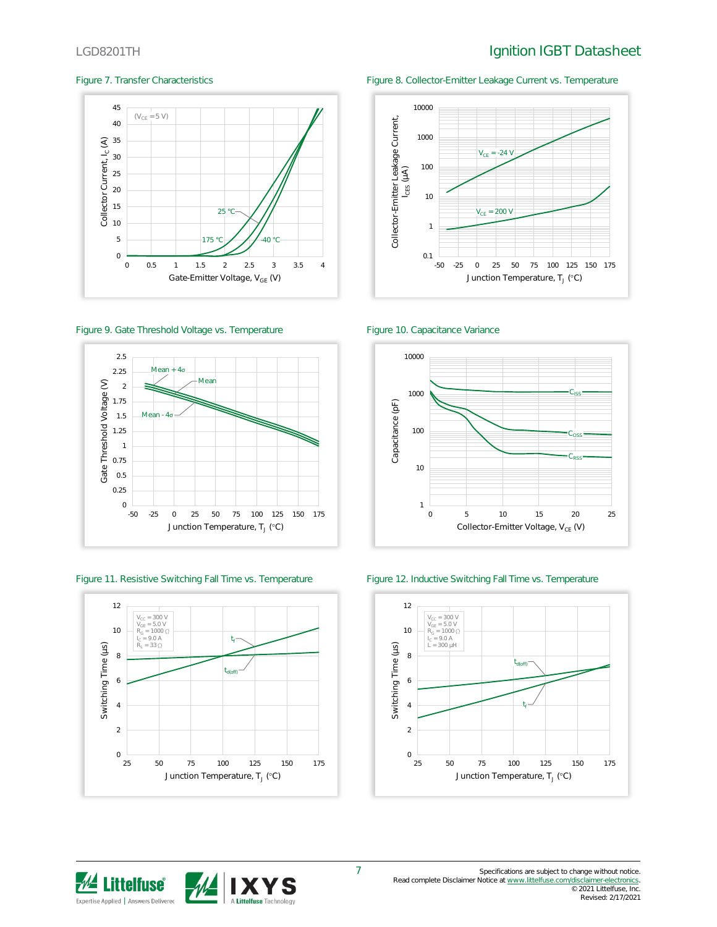## LGD8201TH **Ignition IGBT** Datasheet



Figure 9. Gate Threshold Voltage vs. Temperature Figure 10. Capacitance Variance





Figure 7. Transfer Characteristics Figure 8. Collector-Emitter Leakage Current vs. Temperature





Figure 11. Resistive Switching Fall Time vs. Temperature Figure 12. Inductive Switching Fall Time vs. Temperature



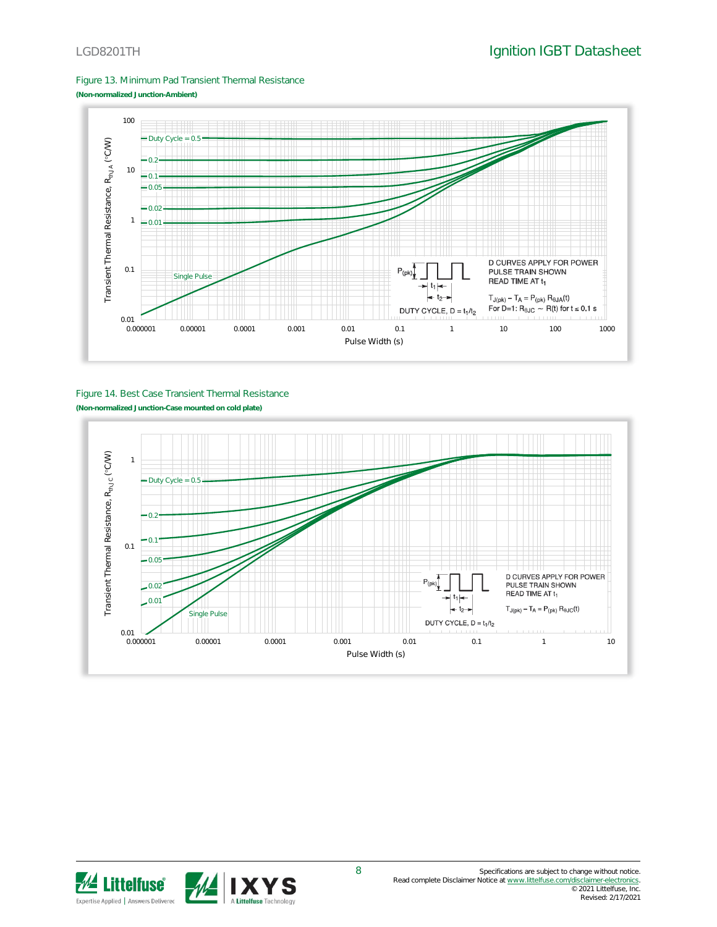Figure 13. Minimum Pad Transient Thermal Resistance





#### Figure 14. Best Case Transient Thermal Resistance **(Non-normalized Junction-Case mounted on cold plate)**